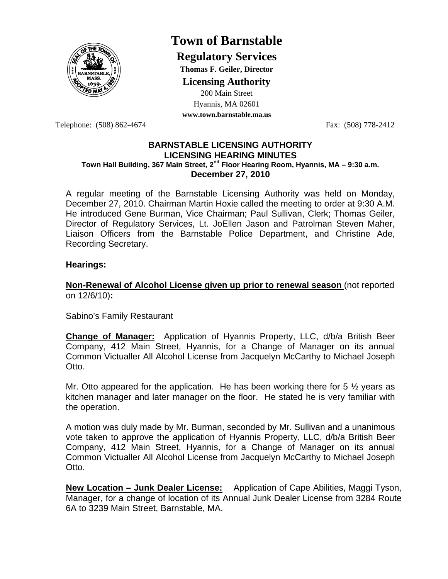

# **Town of Barnstable**

**Regulatory Services**

**Thomas F. Geiler, Director** 

**Licensing Authority**

200 Main Street

Hyannis, MA 02601 **www.town.barnstable.ma.us**

Telephone: (508) 862-4674 Fax: (508) 778-2412

## **BARNSTABLE LICENSING AUTHORITY LICENSING HEARING MINUTES Town Hall Building, 367 Main Street, 2nd Floor Hearing Room, Hyannis, MA – 9:30 a.m. December 27, 2010**

A regular meeting of the Barnstable Licensing Authority was held on Monday, December 27, 2010. Chairman Martin Hoxie called the meeting to order at 9:30 A.M. He introduced Gene Burman, Vice Chairman; Paul Sullivan, Clerk; Thomas Geiler, Director of Regulatory Services, Lt. JoEllen Jason and Patrolman Steven Maher, Liaison Officers from the Barnstable Police Department, and Christine Ade, Recording Secretary.

# **Hearings:**

**Non-Renewal of Alcohol License given up prior to renewal season** (not reported on 12/6/10)**:** 

Sabino's Family Restaurant

**Change of Manager:** Application of Hyannis Property, LLC, d/b/a British Beer Company, 412 Main Street, Hyannis, for a Change of Manager on its annual Common Victualler All Alcohol License from Jacquelyn McCarthy to Michael Joseph Otto.

Mr. Otto appeared for the application. He has been working there for 5  $\frac{1}{2}$  years as kitchen manager and later manager on the floor. He stated he is very familiar with the operation.

A motion was duly made by Mr. Burman, seconded by Mr. Sullivan and a unanimous vote taken to approve the application of Hyannis Property, LLC, d/b/a British Beer Company, 412 Main Street, Hyannis, for a Change of Manager on its annual Common Victualler All Alcohol License from Jacquelyn McCarthy to Michael Joseph Otto.

**New Location – Junk Dealer License:** Application of Cape Abilities, Maggi Tyson, Manager, for a change of location of its Annual Junk Dealer License from 3284 Route 6A to 3239 Main Street, Barnstable, MA.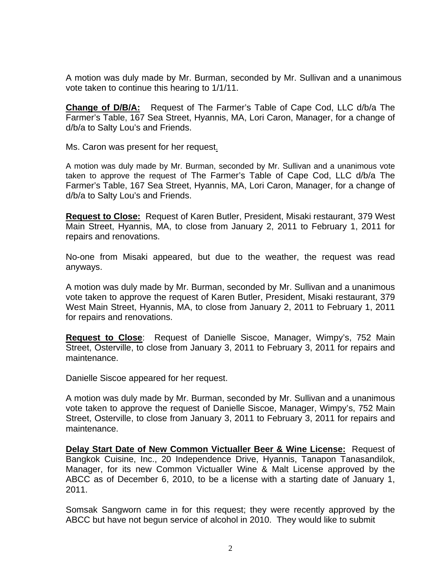A motion was duly made by Mr. Burman, seconded by Mr. Sullivan and a unanimous vote taken to continue this hearing to 1/1/11.

**Change of D/B/A:** Request of The Farmer's Table of Cape Cod, LLC d/b/a The Farmer's Table, 167 Sea Street, Hyannis, MA, Lori Caron, Manager, for a change of d/b/a to Salty Lou's and Friends.

Ms. Caron was present for her request.

A motion was duly made by Mr. Burman, seconded by Mr. Sullivan and a unanimous vote taken to approve the request of The Farmer's Table of Cape Cod, LLC d/b/a The Farmer's Table, 167 Sea Street, Hyannis, MA, Lori Caron, Manager, for a change of d/b/a to Salty Lou's and Friends.

**Request to Close:** Request of Karen Butler, President, Misaki restaurant, 379 West Main Street, Hyannis, MA, to close from January 2, 2011 to February 1, 2011 for repairs and renovations.

No-one from Misaki appeared, but due to the weather, the request was read anyways.

A motion was duly made by Mr. Burman, seconded by Mr. Sullivan and a unanimous vote taken to approve the request of Karen Butler, President, Misaki restaurant, 379 West Main Street, Hyannis, MA, to close from January 2, 2011 to February 1, 2011 for repairs and renovations.

**Request to Close**: Request of Danielle Siscoe, Manager, Wimpy's, 752 Main Street, Osterville, to close from January 3, 2011 to February 3, 2011 for repairs and maintenance.

Danielle Siscoe appeared for her request.

A motion was duly made by Mr. Burman, seconded by Mr. Sullivan and a unanimous vote taken to approve the request of Danielle Siscoe, Manager, Wimpy's, 752 Main Street, Osterville, to close from January 3, 2011 to February 3, 2011 for repairs and maintenance.

**Delay Start Date of New Common Victualler Beer & Wine License:** Request of Bangkok Cuisine, Inc., 20 Independence Drive, Hyannis, Tanapon Tanasandilok, Manager, for its new Common Victualler Wine & Malt License approved by the ABCC as of December 6, 2010, to be a license with a starting date of January 1, 2011.

Somsak Sangworn came in for this request; they were recently approved by the ABCC but have not begun service of alcohol in 2010. They would like to submit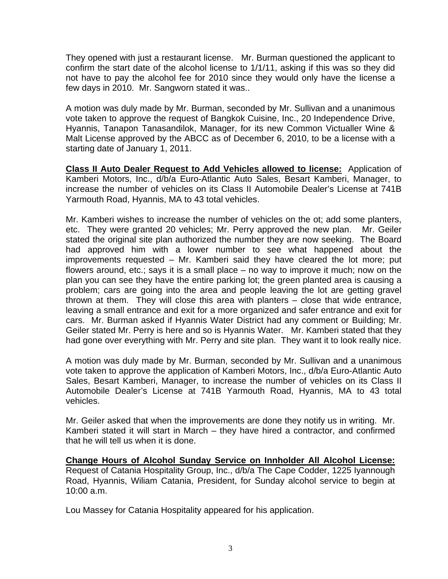They opened with just a restaurant license. Mr. Burman questioned the applicant to confirm the start date of the alcohol license to 1/1/11, asking if this was so they did not have to pay the alcohol fee for 2010 since they would only have the license a few days in 2010. Mr. Sangworn stated it was..

A motion was duly made by Mr. Burman, seconded by Mr. Sullivan and a unanimous vote taken to approve the request of Bangkok Cuisine, Inc., 20 Independence Drive, Hyannis, Tanapon Tanasandilok, Manager, for its new Common Victualler Wine & Malt License approved by the ABCC as of December 6, 2010, to be a license with a starting date of January 1, 2011.

**Class II Auto Dealer Request to Add Vehicles allowed to license:** Application of Kamberi Motors, Inc., d/b/a Euro-Atlantic Auto Sales, Besart Kamberi, Manager, to increase the number of vehicles on its Class II Automobile Dealer's License at 741B Yarmouth Road, Hyannis, MA to 43 total vehicles.

Mr. Kamberi wishes to increase the number of vehicles on the ot; add some planters, etc. They were granted 20 vehicles; Mr. Perry approved the new plan. Mr. Geiler stated the original site plan authorized the number they are now seeking. The Board had approved him with a lower number to see what happened about the improvements requested – Mr. Kamberi said they have cleared the lot more; put flowers around, etc.; says it is a small place – no way to improve it much; now on the plan you can see they have the entire parking lot; the green planted area is causing a problem; cars are going into the area and people leaving the lot are getting gravel thrown at them. They will close this area with planters – close that wide entrance, leaving a small entrance and exit for a more organized and safer entrance and exit for cars. Mr. Burman asked if Hyannis Water District had any comment or Building; Mr. Geiler stated Mr. Perry is here and so is Hyannis Water. Mr. Kamberi stated that they had gone over everything with Mr. Perry and site plan. They want it to look really nice.

A motion was duly made by Mr. Burman, seconded by Mr. Sullivan and a unanimous vote taken to approve the application of Kamberi Motors, Inc., d/b/a Euro-Atlantic Auto Sales, Besart Kamberi, Manager, to increase the number of vehicles on its Class II Automobile Dealer's License at 741B Yarmouth Road, Hyannis, MA to 43 total vehicles.

Mr. Geiler asked that when the improvements are done they notify us in writing. Mr. Kamberi stated it will start in March – they have hired a contractor, and confirmed that he will tell us when it is done.

**Change Hours of Alcohol Sunday Service on Innholder All Alcohol License:** Request of Catania Hospitality Group, Inc., d/b/a The Cape Codder, 1225 Iyannough Road, Hyannis, Wiliam Catania, President, for Sunday alcohol service to begin at 10:00 a.m.

Lou Massey for Catania Hospitality appeared for his application.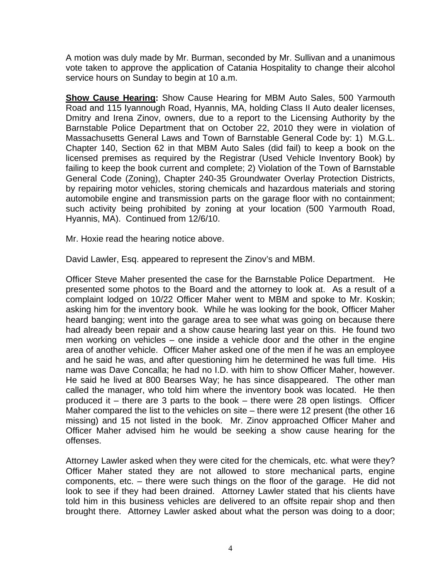A motion was duly made by Mr. Burman, seconded by Mr. Sullivan and a unanimous vote taken to approve the application of Catania Hospitality to change their alcohol service hours on Sunday to begin at 10 a.m.

**Show Cause Hearing:** Show Cause Hearing for MBM Auto Sales, 500 Yarmouth Road and 115 Iyannough Road, Hyannis, MA, holding Class II Auto dealer licenses, Dmitry and Irena Zinov, owners, due to a report to the Licensing Authority by the Barnstable Police Department that on October 22, 2010 they were in violation of Massachusetts General Laws and Town of Barnstable General Code by: 1) M.G.L. Chapter 140, Section 62 in that MBM Auto Sales (did fail) to keep a book on the licensed premises as required by the Registrar (Used Vehicle Inventory Book) by failing to keep the book current and complete; 2) Violation of the Town of Barnstable General Code (Zoning), Chapter 240-35 Groundwater Overlay Protection Districts, by repairing motor vehicles, storing chemicals and hazardous materials and storing automobile engine and transmission parts on the garage floor with no containment; such activity being prohibited by zoning at your location (500 Yarmouth Road, Hyannis, MA). Continued from 12/6/10.

Mr. Hoxie read the hearing notice above.

David Lawler, Esq. appeared to represent the Zinov's and MBM.

Officer Steve Maher presented the case for the Barnstable Police Department. He presented some photos to the Board and the attorney to look at. As a result of a complaint lodged on 10/22 Officer Maher went to MBM and spoke to Mr. Koskin; asking him for the inventory book. While he was looking for the book, Officer Maher heard banging; went into the garage area to see what was going on because there had already been repair and a show cause hearing last year on this. He found two men working on vehicles – one inside a vehicle door and the other in the engine area of another vehicle. Officer Maher asked one of the men if he was an employee and he said he was, and after questioning him he determined he was full time. His name was Dave Concalla; he had no I.D. with him to show Officer Maher, however. He said he lived at 800 Bearses Way; he has since disappeared. The other man called the manager, who told him where the inventory book was located. He then produced it – there are 3 parts to the book – there were 28 open listings. Officer Maher compared the list to the vehicles on site – there were 12 present (the other 16 missing) and 15 not listed in the book. Mr. Zinov approached Officer Maher and Officer Maher advised him he would be seeking a show cause hearing for the offenses.

Attorney Lawler asked when they were cited for the chemicals, etc. what were they? Officer Maher stated they are not allowed to store mechanical parts, engine components, etc. – there were such things on the floor of the garage. He did not look to see if they had been drained. Attorney Lawler stated that his clients have told him in this business vehicles are delivered to an offsite repair shop and then brought there. Attorney Lawler asked about what the person was doing to a door;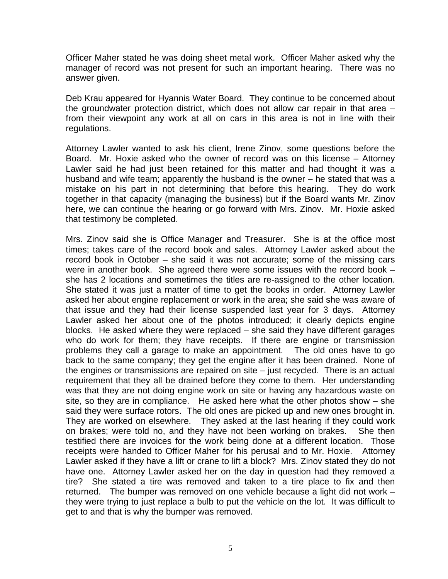Officer Maher stated he was doing sheet metal work. Officer Maher asked why the manager of record was not present for such an important hearing. There was no answer given.

Deb Krau appeared for Hyannis Water Board. They continue to be concerned about the groundwater protection district, which does not allow car repair in that area – from their viewpoint any work at all on cars in this area is not in line with their regulations.

Attorney Lawler wanted to ask his client, Irene Zinov, some questions before the Board. Mr. Hoxie asked who the owner of record was on this license – Attorney Lawler said he had just been retained for this matter and had thought it was a husband and wife team; apparently the husband is the owner – he stated that was a mistake on his part in not determining that before this hearing. They do work together in that capacity (managing the business) but if the Board wants Mr. Zinov here, we can continue the hearing or go forward with Mrs. Zinov. Mr. Hoxie asked that testimony be completed.

Mrs. Zinov said she is Office Manager and Treasurer. She is at the office most times; takes care of the record book and sales. Attorney Lawler asked about the record book in October – she said it was not accurate; some of the missing cars were in another book. She agreed there were some issues with the record book – she has 2 locations and sometimes the titles are re-assigned to the other location. She stated it was just a matter of time to get the books in order. Attorney Lawler asked her about engine replacement or work in the area; she said she was aware of that issue and they had their license suspended last year for 3 days. Attorney Lawler asked her about one of the photos introduced; it clearly depicts engine blocks. He asked where they were replaced – she said they have different garages who do work for them; they have receipts. If there are engine or transmission problems they call a garage to make an appointment. The old ones have to go back to the same company; they get the engine after it has been drained. None of the engines or transmissions are repaired on site – just recycled. There is an actual requirement that they all be drained before they come to them. Her understanding was that they are not doing engine work on site or having any hazardous waste on site, so they are in compliance. He asked here what the other photos show – she said they were surface rotors. The old ones are picked up and new ones brought in. They are worked on elsewhere. They asked at the last hearing if they could work on brakes; were told no, and they have not been working on brakes. She then testified there are invoices for the work being done at a different location. Those receipts were handed to Officer Maher for his perusal and to Mr. Hoxie. Attorney Lawler asked if they have a lift or crane to lift a block? Mrs. Zinov stated they do not have one. Attorney Lawler asked her on the day in question had they removed a tire? She stated a tire was removed and taken to a tire place to fix and then returned. The bumper was removed on one vehicle because a light did not work – they were trying to just replace a bulb to put the vehicle on the lot. It was difficult to get to and that is why the bumper was removed.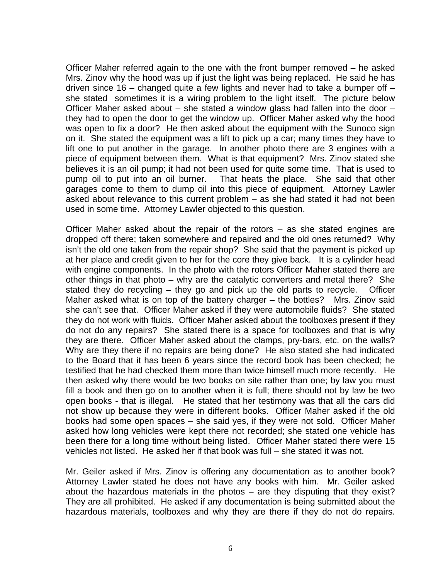Officer Maher referred again to the one with the front bumper removed – he asked Mrs. Zinov why the hood was up if just the light was being replaced. He said he has driven since 16 – changed quite a few lights and never had to take a bumper off  $$ she stated sometimes it is a wiring problem to the light itself. The picture below Officer Maher asked about – she stated a window glass had fallen into the door – they had to open the door to get the window up. Officer Maher asked why the hood was open to fix a door? He then asked about the equipment with the Sunoco sign on it. She stated the equipment was a lift to pick up a car; many times they have to lift one to put another in the garage. In another photo there are 3 engines with a piece of equipment between them. What is that equipment? Mrs. Zinov stated she believes it is an oil pump; it had not been used for quite some time. That is used to pump oil to put into an oil burner. That heats the place. She said that other garages come to them to dump oil into this piece of equipment. Attorney Lawler asked about relevance to this current problem – as she had stated it had not been used in some time. Attorney Lawler objected to this question.

Officer Maher asked about the repair of the rotors – as she stated engines are dropped off there; taken somewhere and repaired and the old ones returned? Why isn't the old one taken from the repair shop? She said that the payment is picked up at her place and credit given to her for the core they give back. It is a cylinder head with engine components. In the photo with the rotors Officer Maher stated there are other things in that photo – why are the catalytic converters and metal there? She stated they do recycling – they go and pick up the old parts to recycle. Officer Maher asked what is on top of the battery charger – the bottles? Mrs. Zinov said she can't see that. Officer Maher asked if they were automobile fluids? She stated they do not work with fluids. Officer Maher asked about the toolboxes present if they do not do any repairs? She stated there is a space for toolboxes and that is why they are there. Officer Maher asked about the clamps, pry-bars, etc. on the walls? Why are they there if no repairs are being done? He also stated she had indicated to the Board that it has been 6 years since the record book has been checked; he testified that he had checked them more than twice himself much more recently. He then asked why there would be two books on site rather than one; by law you must fill a book and then go on to another when it is full; there should not by law be two open books - that is illegal. He stated that her testimony was that all the cars did not show up because they were in different books. Officer Maher asked if the old books had some open spaces – she said yes, if they were not sold. Officer Maher asked how long vehicles were kept there not recorded; she stated one vehicle has been there for a long time without being listed. Officer Maher stated there were 15 vehicles not listed. He asked her if that book was full – she stated it was not.

Mr. Geiler asked if Mrs. Zinov is offering any documentation as to another book? Attorney Lawler stated he does not have any books with him. Mr. Geiler asked about the hazardous materials in the photos – are they disputing that they exist? They are all prohibited. He asked if any documentation is being submitted about the hazardous materials, toolboxes and why they are there if they do not do repairs.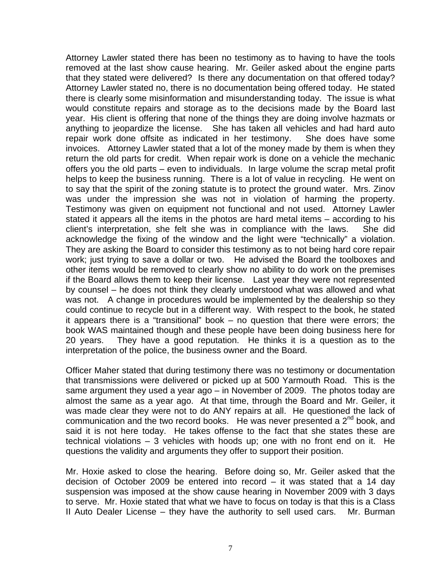Attorney Lawler stated there has been no testimony as to having to have the tools removed at the last show cause hearing. Mr. Geiler asked about the engine parts that they stated were delivered? Is there any documentation on that offered today? Attorney Lawler stated no, there is no documentation being offered today. He stated there is clearly some misinformation and misunderstanding today. The issue is what would constitute repairs and storage as to the decisions made by the Board last year. His client is offering that none of the things they are doing involve hazmats or anything to jeopardize the license. She has taken all vehicles and had hard auto repair work done offsite as indicated in her testimony. She does have some invoices. Attorney Lawler stated that a lot of the money made by them is when they return the old parts for credit. When repair work is done on a vehicle the mechanic offers you the old parts – even to individuals. In large volume the scrap metal profit helps to keep the business running. There is a lot of value in recycling. He went on to say that the spirit of the zoning statute is to protect the ground water. Mrs. Zinov was under the impression she was not in violation of harming the property. Testimony was given on equipment not functional and not used. Attorney Lawler stated it appears all the items in the photos are hard metal items – according to his client's interpretation, she felt she was in compliance with the laws. She did acknowledge the fixing of the window and the light were "technically" a violation. They are asking the Board to consider this testimony as to not being hard core repair work; just trying to save a dollar or two. He advised the Board the toolboxes and other items would be removed to clearly show no ability to do work on the premises if the Board allows them to keep their license. Last year they were not represented by counsel – he does not think they clearly understood what was allowed and what was not. A change in procedures would be implemented by the dealership so they could continue to recycle but in a different way. With respect to the book, he stated it appears there is a "transitional" book – no question that there were errors; the book WAS maintained though and these people have been doing business here for 20 years. They have a good reputation. He thinks it is a question as to the interpretation of the police, the business owner and the Board.

Officer Maher stated that during testimony there was no testimony or documentation that transmissions were delivered or picked up at 500 Yarmouth Road. This is the same argument they used a year ago – in November of 2009. The photos today are almost the same as a year ago. At that time, through the Board and Mr. Geiler, it was made clear they were not to do ANY repairs at all. He questioned the lack of communication and the two record books. He was never presented a  $2<sup>nd</sup>$  book, and said it is not here today. He takes offense to the fact that she states these are technical violations – 3 vehicles with hoods up; one with no front end on it. He questions the validity and arguments they offer to support their position.

Mr. Hoxie asked to close the hearing. Before doing so, Mr. Geiler asked that the decision of October 2009 be entered into record – it was stated that a 14 day suspension was imposed at the show cause hearing in November 2009 with 3 days to serve. Mr. Hoxie stated that what we have to focus on today is that this is a Class II Auto Dealer License – they have the authority to sell used cars. Mr. Burman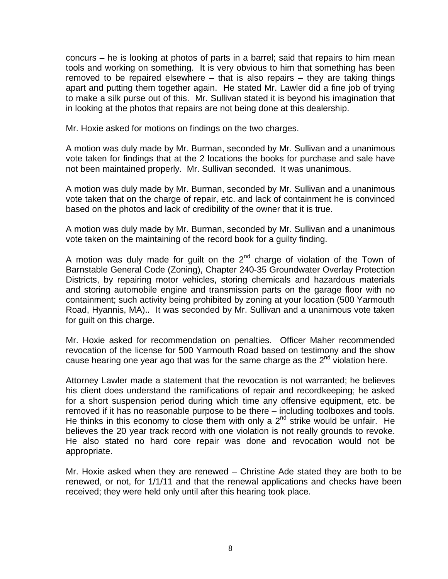concurs – he is looking at photos of parts in a barrel; said that repairs to him mean tools and working on something. It is very obvious to him that something has been removed to be repaired elsewhere – that is also repairs – they are taking things apart and putting them together again. He stated Mr. Lawler did a fine job of trying to make a silk purse out of this. Mr. Sullivan stated it is beyond his imagination that in looking at the photos that repairs are not being done at this dealership.

Mr. Hoxie asked for motions on findings on the two charges.

A motion was duly made by Mr. Burman, seconded by Mr. Sullivan and a unanimous vote taken for findings that at the 2 locations the books for purchase and sale have not been maintained properly. Mr. Sullivan seconded. It was unanimous.

A motion was duly made by Mr. Burman, seconded by Mr. Sullivan and a unanimous vote taken that on the charge of repair, etc. and lack of containment he is convinced based on the photos and lack of credibility of the owner that it is true.

A motion was duly made by Mr. Burman, seconded by Mr. Sullivan and a unanimous vote taken on the maintaining of the record book for a guilty finding.

A motion was duly made for quilt on the  $2<sup>nd</sup>$  charge of violation of the Town of Barnstable General Code (Zoning), Chapter 240-35 Groundwater Overlay Protection Districts, by repairing motor vehicles, storing chemicals and hazardous materials and storing automobile engine and transmission parts on the garage floor with no containment; such activity being prohibited by zoning at your location (500 Yarmouth Road, Hyannis, MA).. It was seconded by Mr. Sullivan and a unanimous vote taken for guilt on this charge.

Mr. Hoxie asked for recommendation on penalties. Officer Maher recommended revocation of the license for 500 Yarmouth Road based on testimony and the show cause hearing one year ago that was for the same charge as the  $2^{nd}$  violation here.

Attorney Lawler made a statement that the revocation is not warranted; he believes his client does understand the ramifications of repair and recordkeeping; he asked for a short suspension period during which time any offensive equipment, etc. be removed if it has no reasonable purpose to be there – including toolboxes and tools. He thinks in this economy to close them with only a  $2<sup>nd</sup>$  strike would be unfair. He believes the 20 year track record with one violation is not really grounds to revoke. He also stated no hard core repair was done and revocation would not be appropriate.

Mr. Hoxie asked when they are renewed – Christine Ade stated they are both to be renewed, or not, for 1/1/11 and that the renewal applications and checks have been received; they were held only until after this hearing took place.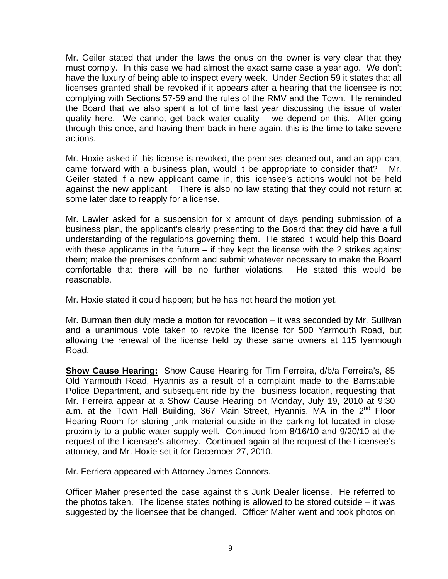Mr. Geiler stated that under the laws the onus on the owner is very clear that they must comply. In this case we had almost the exact same case a year ago. We don't have the luxury of being able to inspect every week. Under Section 59 it states that all licenses granted shall be revoked if it appears after a hearing that the licensee is not complying with Sections 57-59 and the rules of the RMV and the Town. He reminded the Board that we also spent a lot of time last year discussing the issue of water quality here. We cannot get back water quality – we depend on this. After going through this once, and having them back in here again, this is the time to take severe actions.

Mr. Hoxie asked if this license is revoked, the premises cleaned out, and an applicant came forward with a business plan, would it be appropriate to consider that? Mr. Geiler stated if a new applicant came in, this licensee's actions would not be held against the new applicant. There is also no law stating that they could not return at some later date to reapply for a license.

Mr. Lawler asked for a suspension for x amount of days pending submission of a business plan, the applicant's clearly presenting to the Board that they did have a full understanding of the regulations governing them. He stated it would help this Board with these applicants in the future – if they kept the license with the 2 strikes against them; make the premises conform and submit whatever necessary to make the Board comfortable that there will be no further violations. He stated this would be reasonable.

Mr. Hoxie stated it could happen; but he has not heard the motion yet.

Mr. Burman then duly made a motion for revocation – it was seconded by Mr. Sullivan and a unanimous vote taken to revoke the license for 500 Yarmouth Road, but allowing the renewal of the license held by these same owners at 115 Iyannough Road.

**Show Cause Hearing:** Show Cause Hearing for Tim Ferreira, d/b/a Ferreira's, 85 Old Yarmouth Road, Hyannis as a result of a complaint made to the Barnstable Police Department, and subsequent ride by the business location, requesting that Mr. Ferreira appear at a Show Cause Hearing on Monday, July 19, 2010 at 9:30 a.m. at the Town Hall Building, 367 Main Street, Hyannis, MA in the 2<sup>nd</sup> Floor Hearing Room for storing junk material outside in the parking lot located in close proximity to a public water supply well. Continued from 8/16/10 and 9/20/10 at the request of the Licensee's attorney. Continued again at the request of the Licensee's attorney, and Mr. Hoxie set it for December 27, 2010.

Mr. Ferriera appeared with Attorney James Connors.

Officer Maher presented the case against this Junk Dealer license. He referred to the photos taken. The license states nothing is allowed to be stored outside – it was suggested by the licensee that be changed. Officer Maher went and took photos on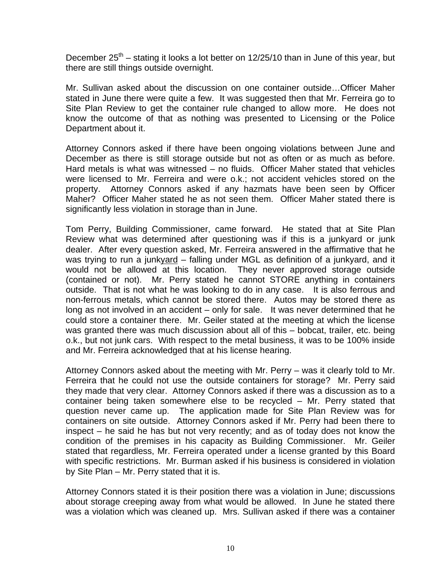December  $25<sup>th</sup>$  – stating it looks a lot better on 12/25/10 than in June of this year, but there are still things outside overnight.

Mr. Sullivan asked about the discussion on one container outside…Officer Maher stated in June there were quite a few. It was suggested then that Mr. Ferreira go to Site Plan Review to get the container rule changed to allow more. He does not know the outcome of that as nothing was presented to Licensing or the Police Department about it.

Attorney Connors asked if there have been ongoing violations between June and December as there is still storage outside but not as often or as much as before. Hard metals is what was witnessed – no fluids. Officer Maher stated that vehicles were licensed to Mr. Ferreira and were o.k.; not accident vehicles stored on the property. Attorney Connors asked if any hazmats have been seen by Officer Maher? Officer Maher stated he as not seen them. Officer Maher stated there is significantly less violation in storage than in June.

Tom Perry, Building Commissioner, came forward. He stated that at Site Plan Review what was determined after questioning was if this is a junkyard or junk dealer. After every question asked, Mr. Ferreira answered in the affirmative that he was trying to run a junkyard – falling under MGL as definition of a junkyard, and it would not be allowed at this location. They never approved storage outside (contained or not). Mr. Perry stated he cannot STORE anything in containers outside. That is not what he was looking to do in any case. It is also ferrous and non-ferrous metals, which cannot be stored there. Autos may be stored there as long as not involved in an accident – only for sale. It was never determined that he could store a container there. Mr. Geiler stated at the meeting at which the license was granted there was much discussion about all of this – bobcat, trailer, etc. being o.k., but not junk cars. With respect to the metal business, it was to be 100% inside and Mr. Ferreira acknowledged that at his license hearing.

Attorney Connors asked about the meeting with Mr. Perry – was it clearly told to Mr. Ferreira that he could not use the outside containers for storage? Mr. Perry said they made that very clear. Attorney Connors asked if there was a discussion as to a container being taken somewhere else to be recycled – Mr. Perry stated that question never came up. The application made for Site Plan Review was for containers on site outside. Attorney Connors asked if Mr. Perry had been there to inspect – he said he has but not very recently; and as of today does not know the condition of the premises in his capacity as Building Commissioner. Mr. Geiler stated that regardless, Mr. Ferreira operated under a license granted by this Board with specific restrictions. Mr. Burman asked if his business is considered in violation by Site Plan – Mr. Perry stated that it is.

Attorney Connors stated it is their position there was a violation in June; discussions about storage creeping away from what would be allowed. In June he stated there was a violation which was cleaned up. Mrs. Sullivan asked if there was a container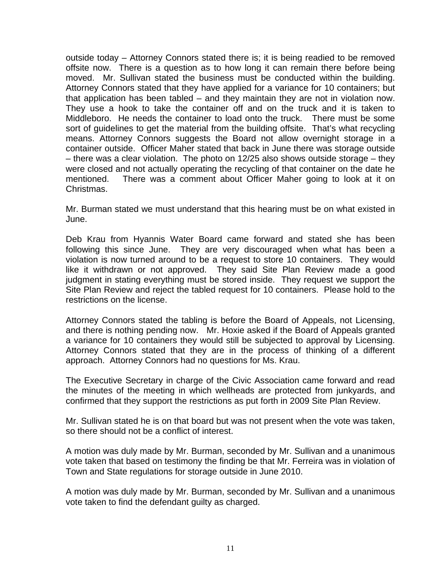outside today – Attorney Connors stated there is; it is being readied to be removed offsite now. There is a question as to how long it can remain there before being moved. Mr. Sullivan stated the business must be conducted within the building. Attorney Connors stated that they have applied for a variance for 10 containers; but that application has been tabled – and they maintain they are not in violation now. They use a hook to take the container off and on the truck and it is taken to Middleboro. He needs the container to load onto the truck. There must be some sort of guidelines to get the material from the building offsite. That's what recycling means. Attorney Connors suggests the Board not allow overnight storage in a container outside. Officer Maher stated that back in June there was storage outside – there was a clear violation. The photo on 12/25 also shows outside storage – they were closed and not actually operating the recycling of that container on the date he mentioned. There was a comment about Officer Maher going to look at it on Christmas.

Mr. Burman stated we must understand that this hearing must be on what existed in June.

Deb Krau from Hyannis Water Board came forward and stated she has been following this since June. They are very discouraged when what has been a violation is now turned around to be a request to store 10 containers. They would like it withdrawn or not approved. They said Site Plan Review made a good judgment in stating everything must be stored inside. They request we support the Site Plan Review and reject the tabled request for 10 containers. Please hold to the restrictions on the license.

Attorney Connors stated the tabling is before the Board of Appeals, not Licensing, and there is nothing pending now. Mr. Hoxie asked if the Board of Appeals granted a variance for 10 containers they would still be subjected to approval by Licensing. Attorney Connors stated that they are in the process of thinking of a different approach. Attorney Connors had no questions for Ms. Krau.

The Executive Secretary in charge of the Civic Association came forward and read the minutes of the meeting in which wellheads are protected from junkyards, and confirmed that they support the restrictions as put forth in 2009 Site Plan Review.

Mr. Sullivan stated he is on that board but was not present when the vote was taken, so there should not be a conflict of interest.

A motion was duly made by Mr. Burman, seconded by Mr. Sullivan and a unanimous vote taken that based on testimony the finding be that Mr. Ferreira was in violation of Town and State regulations for storage outside in June 2010.

A motion was duly made by Mr. Burman, seconded by Mr. Sullivan and a unanimous vote taken to find the defendant guilty as charged.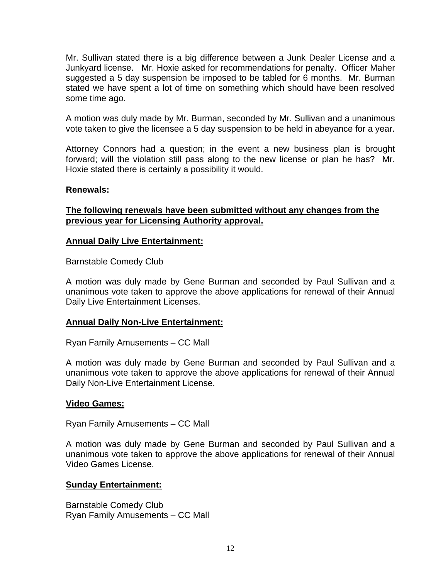Mr. Sullivan stated there is a big difference between a Junk Dealer License and a Junkyard license. Mr. Hoxie asked for recommendations for penalty. Officer Maher suggested a 5 day suspension be imposed to be tabled for 6 months. Mr. Burman stated we have spent a lot of time on something which should have been resolved some time ago.

A motion was duly made by Mr. Burman, seconded by Mr. Sullivan and a unanimous vote taken to give the licensee a 5 day suspension to be held in abeyance for a year.

Attorney Connors had a question; in the event a new business plan is brought forward; will the violation still pass along to the new license or plan he has? Mr. Hoxie stated there is certainly a possibility it would.

# **Renewals:**

# **The following renewals have been submitted without any changes from the previous year for Licensing Authority approval.**

#### **Annual Daily Live Entertainment:**

Barnstable Comedy Club

A motion was duly made by Gene Burman and seconded by Paul Sullivan and a unanimous vote taken to approve the above applications for renewal of their Annual Daily Live Entertainment Licenses.

# **Annual Daily Non-Live Entertainment:**

Ryan Family Amusements – CC Mall

A motion was duly made by Gene Burman and seconded by Paul Sullivan and a unanimous vote taken to approve the above applications for renewal of their Annual Daily Non-Live Entertainment License.

#### **Video Games:**

Ryan Family Amusements – CC Mall

A motion was duly made by Gene Burman and seconded by Paul Sullivan and a unanimous vote taken to approve the above applications for renewal of their Annual Video Games License.

#### **Sunday Entertainment:**

Barnstable Comedy Club Ryan Family Amusements – CC Mall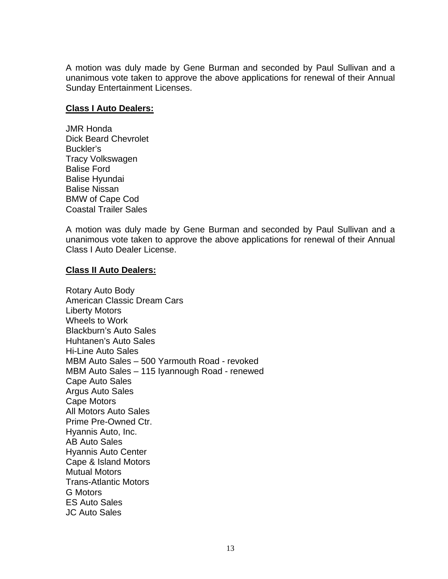A motion was duly made by Gene Burman and seconded by Paul Sullivan and a unanimous vote taken to approve the above applications for renewal of their Annual Sunday Entertainment Licenses.

## **Class I Auto Dealers:**

JMR Honda Dick Beard Chevrolet Buckler's Tracy Volkswagen Balise Ford Balise Hyundai Balise Nissan BMW of Cape Cod Coastal Trailer Sales

A motion was duly made by Gene Burman and seconded by Paul Sullivan and a unanimous vote taken to approve the above applications for renewal of their Annual Class I Auto Dealer License.

## **Class II Auto Dealers:**

Rotary Auto Body American Classic Dream Cars Liberty Motors Wheels to Work Blackburn's Auto Sales Huhtanen's Auto Sales Hi-Line Auto Sales MBM Auto Sales – 500 Yarmouth Road - revoked MBM Auto Sales – 115 Iyannough Road - renewed Cape Auto Sales Argus Auto Sales Cape Motors All Motors Auto Sales Prime Pre-Owned Ctr. Hyannis Auto, Inc. AB Auto Sales Hyannis Auto Center Cape & Island Motors Mutual Motors Trans-Atlantic Motors G Motors ES Auto Sales JC Auto Sales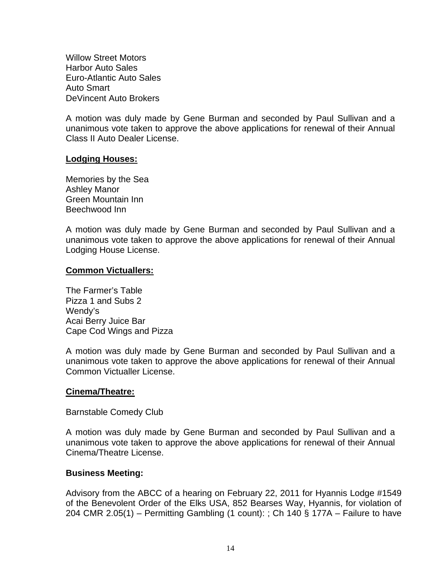Willow Street Motors Harbor Auto Sales Euro-Atlantic Auto Sales Auto Smart DeVincent Auto Brokers

A motion was duly made by Gene Burman and seconded by Paul Sullivan and a unanimous vote taken to approve the above applications for renewal of their Annual Class II Auto Dealer License.

## **Lodging Houses:**

Memories by the Sea Ashley Manor Green Mountain Inn Beechwood Inn

A motion was duly made by Gene Burman and seconded by Paul Sullivan and a unanimous vote taken to approve the above applications for renewal of their Annual Lodging House License.

## **Common Victuallers:**

The Farmer's Table Pizza 1 and Subs 2 Wendy's Acai Berry Juice Bar Cape Cod Wings and Pizza

A motion was duly made by Gene Burman and seconded by Paul Sullivan and a unanimous vote taken to approve the above applications for renewal of their Annual Common Victualler License.

#### **Cinema/Theatre:**

Barnstable Comedy Club

A motion was duly made by Gene Burman and seconded by Paul Sullivan and a unanimous vote taken to approve the above applications for renewal of their Annual Cinema/Theatre License.

#### **Business Meeting:**

Advisory from the ABCC of a hearing on February 22, 2011 for Hyannis Lodge #1549 of the Benevolent Order of the Elks USA, 852 Bearses Way, Hyannis, for violation of 204 CMR 2.05(1) – Permitting Gambling (1 count): ; Ch 140  $\S$  177A – Failure to have